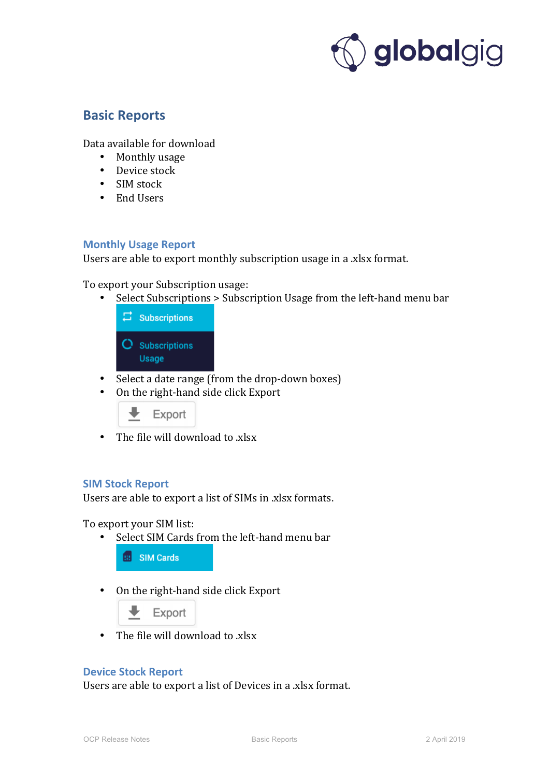

# **Basic Reports**

Data available for download

- Monthly usage
- Device stock
- SIM stock
- End Users

## **Monthly Usage Report**

Users are able to export monthly subscription usage in a .xlsx format.

To export your Subscription usage:

Select Subscriptions > Subscription Usage from the left-hand menu bar



- Select a date range (from the drop-down boxes)
- On the right-hand side click Export



• The file will download to  $x$ lsx

# **SIM Stock Report**

Users are able to export a list of SIMs in .xlsx formats.

To export your SIM list:

• Select SIM Cards from the left-hand menu bar

**BB** SIM Cards

• On the right-hand side click Export



• The file will download to  $x$ lsx

#### **Device Stock Report**

Users are able to export a list of Devices in a .xlsx format.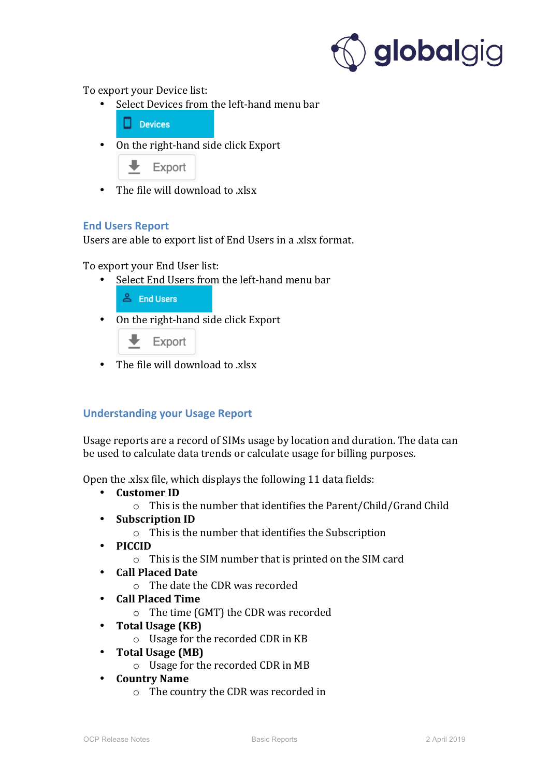

To export your Device list:

Select Devices from the left-hand menu bar

 $\Box$  Devices

• On the right-hand side click Export

Export

• The file will download to  $x$ lsx

## **End Users Report**

Users are able to export list of End Users in a .xlsx format.

To export your End User list:

- Select End Users from the left-hand menu bar
	- & End Users
- On the right-hand side click Export



• The file will download to  $x$ lsx

# **Understanding your Usage Report**

Usage reports are a record of SIMs usage by location and duration. The data can be used to calculate data trends or calculate usage for billing purposes.

Open the xlsx file, which displays the following 11 data fields:

- **Customer ID**
	- $\circ$  This is the number that identifies the Parent/Child/Grand Child
- **Subscription ID**
	- $\circ$  This is the number that identifies the Subscription
- **PICCID**
	- $\circ$  This is the SIM number that is printed on the SIM card
- **Call Placed Date**
	- o The date the CDR was recorded
- **Call Placed Time**
	- $\circ$  The time (GMT) the CDR was recorded
- **Total Usage** (KB)
	- $\circ$  Usage for the recorded CDR in KB
- Total Usage (MB)
	- $\circ$  Usage for the recorded CDR in MB
- **Country Name**
	- $\circ$  The country the CDR was recorded in